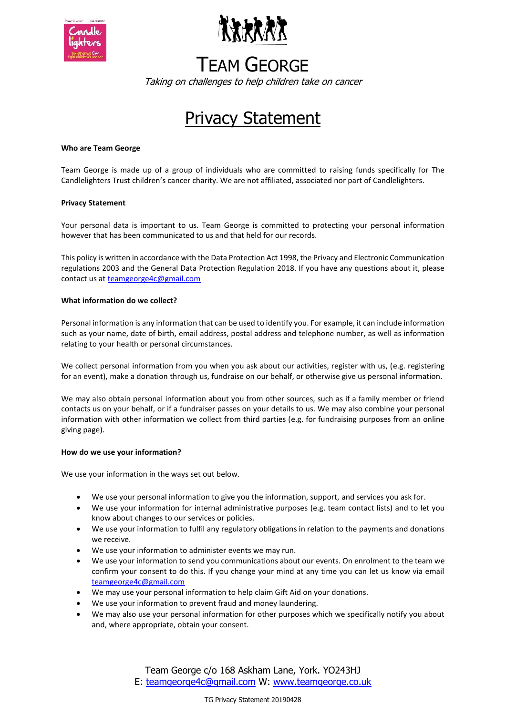



# TEAM GEORGE

Taking on challenges to help children take on cancer

# **Privacy Statement**

### **Who are Team George**

Team George is made up of a group of individuals who are committed to raising funds specifically for The Candlelighters Trust children's cancer charity. We are not affiliated, associated nor part of Candlelighters.

### **Privacy Statement**

Your personal data is important to us. Team George is committed to protecting your personal information however that has been communicated to us and that held for our records.

This policy is written in accordance with the Data Protection Act 1998, the Privacy and Electronic Communication regulations 2003 and the General Data Protection Regulation 2018. If you have any questions about it, please contact us a[t teamgeorge4c@gmail.com](mailto:teamgeorge4c@gmail.com)

#### **What information do we collect?**

Personal information is any information that can be used to identify you. For example, it can include information such as your name, date of birth, email address, postal address and telephone number, as well as information relating to your health or personal circumstances.

We collect personal information from you when you ask about our activities, register with us, (e.g. registering for an event), make a donation through us, fundraise on our behalf, or otherwise give us personal information.

We may also obtain personal information about you from other sources, such as if a family member or friend contacts us on your behalf, or if a fundraiser passes on your details to us. We may also combine your personal information with other information we collect from third parties (e.g. for fundraising purposes from an online giving page).

#### **How do we use your information?**

We use your information in the ways set out below.

- We use your personal information to give you the information, support, and services you ask for.
- We use your information for internal administrative purposes (e.g. team contact lists) and to let you know about changes to our services or policies.
- We use your information to fulfil any regulatory obligations in relation to the payments and donations we receive.
- We use your information to administer events we may run.
- We use your information to send you communications about our events. On enrolment to the team we confirm your consent to do this. If you change your mind at any time you can let us know via email [teamgeorge4c@gmail.com](mailto:teamgeorge4c@gmail.com)
- We may use your personal information to help claim Gift Aid on your donations.
- We use your information to prevent fraud and money laundering.
- We may also use your personal information for other purposes which we specifically notify you about and, where appropriate, obtain your consent.

Team George c/o 168 Askham Lane, York. YO243HJ E: [teamgeorge4c@gmail.com](mailto:teamgeorge4c@gmail.com) W: [www.teamgeorge.co.uk](http://www.teamgeorge.co.uk/)